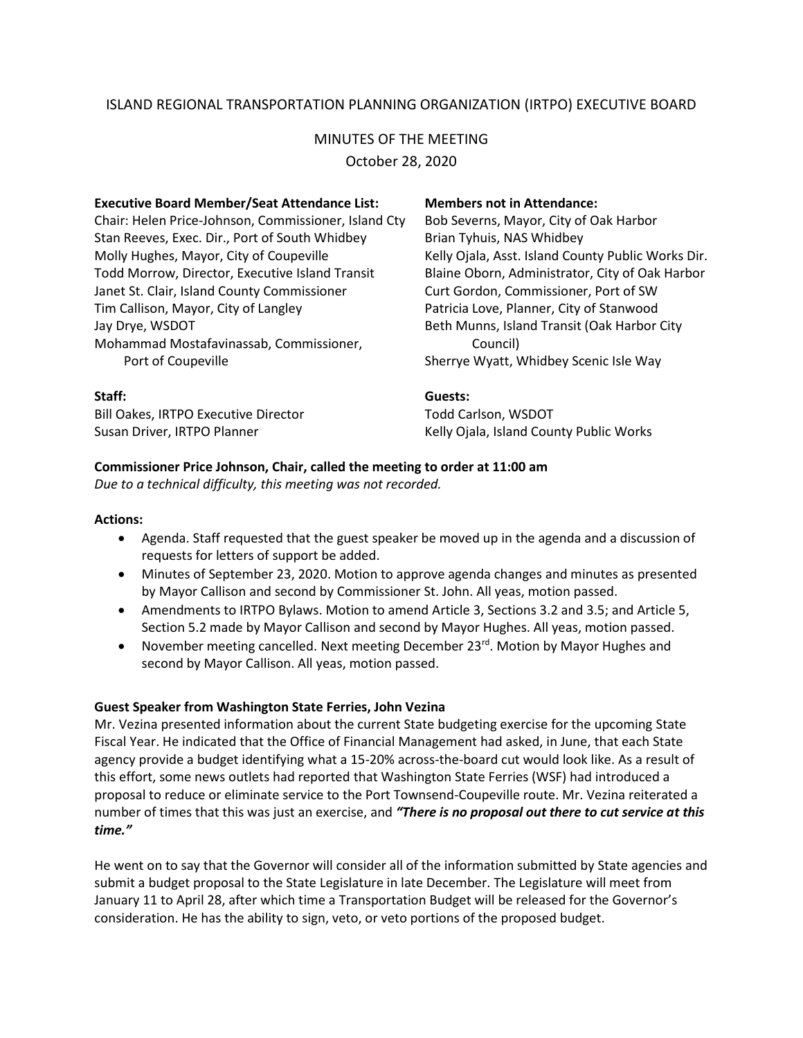# ISLAND REGIONAL TRANSPORTATION PLANNING ORGANIZATION (IRTPO) EXECUTIVE BOARD

# MINUTES OF THE MEETING

October 28, 2020

| <b>Executive Board Member/Seat Attendance List:</b>  | <b>Members not in Attendance:</b>                  |
|------------------------------------------------------|----------------------------------------------------|
| Chair: Helen Price-Johnson, Commissioner, Island Cty | Bob Severns, Mayor, City of Oak Harbor             |
| Stan Reeves, Exec. Dir., Port of South Whidbey       | Brian Tyhuis, NAS Whidbey                          |
| Molly Hughes, Mayor, City of Coupeville              | Kelly Ojala, Asst. Island County Public Works Dir. |
| Todd Morrow, Director, Executive Island Transit      | Blaine Oborn, Administrator, City of Oak Harbor    |
| Janet St. Clair, Island County Commissioner          | Curt Gordon, Commissioner, Port of SW              |
| Tim Callison, Mayor, City of Langley                 | Patricia Love, Planner, City of Stanwood           |
| Jay Drye, WSDOT                                      | Beth Munns, Island Transit (Oak Harbor City        |
| Mohammad Mostafavinassab, Commissioner,              | Council)                                           |
| Port of Coupeville                                   | Sherrye Wyatt, Whidbey Scenic Isle Way             |
| Staff:                                               | Guests:                                            |
| <b>Bill Oakes, IRTPO Executive Director</b>          | <b>Todd Carlson, WSDOT</b>                         |
| Susan Driver, IRTPO Planner                          | Kelly Ojala, Island County Public Works            |

# **Commissioner Price Johnson, Chair, called the meeting to order at 11:00 am**

*Due to a technical difficulty, this meeting was not recorded.*

### **Actions:**

- Agenda. Staff requested that the guest speaker be moved up in the agenda and a discussion of requests for letters of support be added.
- Minutes of September 23, 2020. Motion to approve agenda changes and minutes as presented by Mayor Callison and second by Commissioner St. John. All yeas, motion passed.
- Amendments to IRTPO Bylaws. Motion to amend Article 3, Sections 3.2 and 3.5; and Article 5, Section 5.2 made by Mayor Callison and second by Mayor Hughes. All yeas, motion passed.
- November meeting cancelled. Next meeting December  $23^{\text{rd}}$ . Motion by Mayor Hughes and second by Mayor Callison. All yeas, motion passed.

## **Guest Speaker from Washington State Ferries, John Vezina**

Mr. Vezina presented information about the current State budgeting exercise for the upcoming State Fiscal Year. He indicated that the Office of Financial Management had asked, in June, that each State agency provide a budget identifying what a 15-20% across-the-board cut would look like. As a result of this effort, some news outlets had reported that Washington State Ferries (WSF) had introduced a proposal to reduce or eliminate service to the Port Townsend-Coupeville route. Mr. Vezina reiterated a number of times that this was just an exercise, and *"There is no proposal out there to cut service at this time."*

He went on to say that the Governor will consider all of the information submitted by State agencies and submit a budget proposal to the State Legislature in late December. The Legislature will meet from January 11 to April 28, after which time a Transportation Budget will be released for the Governor's consideration. He has the ability to sign, veto, or veto portions of the proposed budget.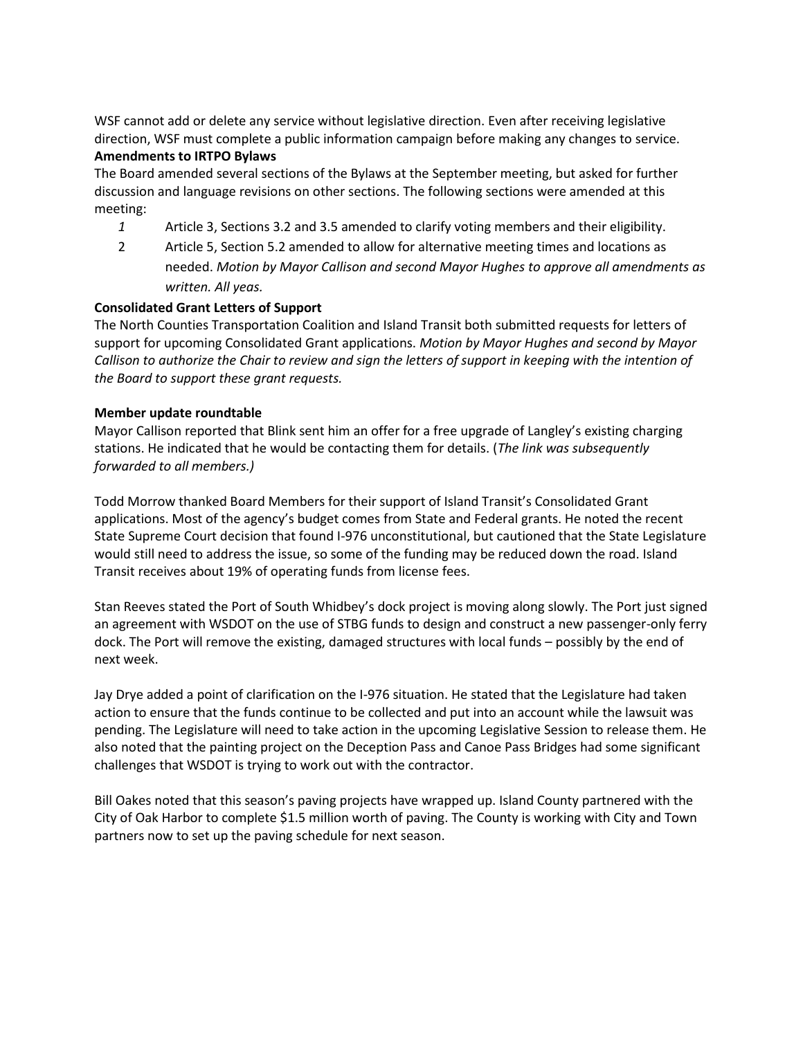WSF cannot add or delete any service without legislative direction. Even after receiving legislative direction, WSF must complete a public information campaign before making any changes to service.

#### **Amendments to IRTPO Bylaws**

The Board amended several sections of the Bylaws at the September meeting, but asked for further discussion and language revisions on other sections. The following sections were amended at this meeting:

- *1* Article 3, Sections 3.2 and 3.5 amended to clarify voting members and their eligibility.
- 2 Article 5, Section 5.2 amended to allow for alternative meeting times and locations as needed. *Motion by Mayor Callison and second Mayor Hughes to approve all amendments as written. All yeas.*

# **Consolidated Grant Letters of Support**

The North Counties Transportation Coalition and Island Transit both submitted requests for letters of support for upcoming Consolidated Grant applications. *Motion by Mayor Hughes and second by Mayor Callison to authorize the Chair to review and sign the letters of support in keeping with the intention of the Board to support these grant requests.*

## **Member update roundtable**

Mayor Callison reported that Blink sent him an offer for a free upgrade of Langley's existing charging stations. He indicated that he would be contacting them for details. (*The link was subsequently forwarded to all members.)*

Todd Morrow thanked Board Members for their support of Island Transit's Consolidated Grant applications. Most of the agency's budget comes from State and Federal grants. He noted the recent State Supreme Court decision that found I-976 unconstitutional, but cautioned that the State Legislature would still need to address the issue, so some of the funding may be reduced down the road. Island Transit receives about 19% of operating funds from license fees.

Stan Reeves stated the Port of South Whidbey's dock project is moving along slowly. The Port just signed an agreement with WSDOT on the use of STBG funds to design and construct a new passenger-only ferry dock. The Port will remove the existing, damaged structures with local funds – possibly by the end of next week.

Jay Drye added a point of clarification on the I-976 situation. He stated that the Legislature had taken action to ensure that the funds continue to be collected and put into an account while the lawsuit was pending. The Legislature will need to take action in the upcoming Legislative Session to release them. He also noted that the painting project on the Deception Pass and Canoe Pass Bridges had some significant challenges that WSDOT is trying to work out with the contractor.

Bill Oakes noted that this season's paving projects have wrapped up. Island County partnered with the City of Oak Harbor to complete \$1.5 million worth of paving. The County is working with City and Town partners now to set up the paving schedule for next season.